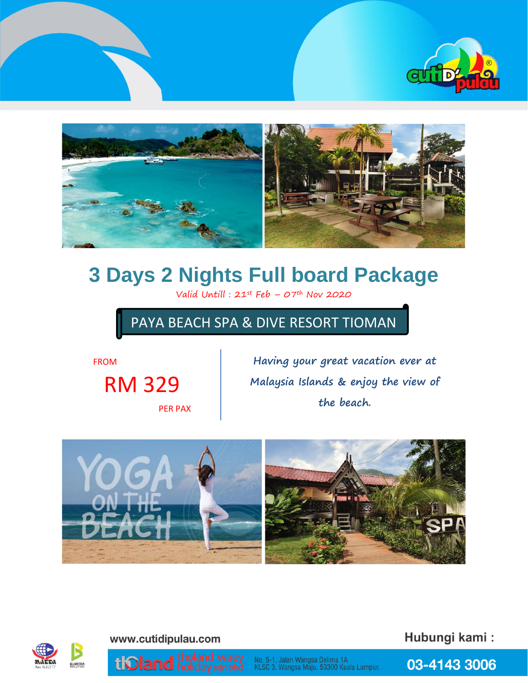



# **3 Days 2 Nights Full board Package**

Valid Untill :  $21^{st}$  Feb –  $07^{th}$  Nov 2020

## PAYA BEACH SPA & DIVE RESORT TIOMAN

FROM

RM 329

PER PAX

**Having your great vacation ever at Malaysia Islands & enjoy the view of the beach.**





www.cutidipulau.com

Hubungi kami:

tioland holiday sdn bhd

No. 5-1, Jalan Wangsa Delima 1A<br>KLSC 3, Wangsa Maju, 53300 Kuala Lumpur.

03-4143 3006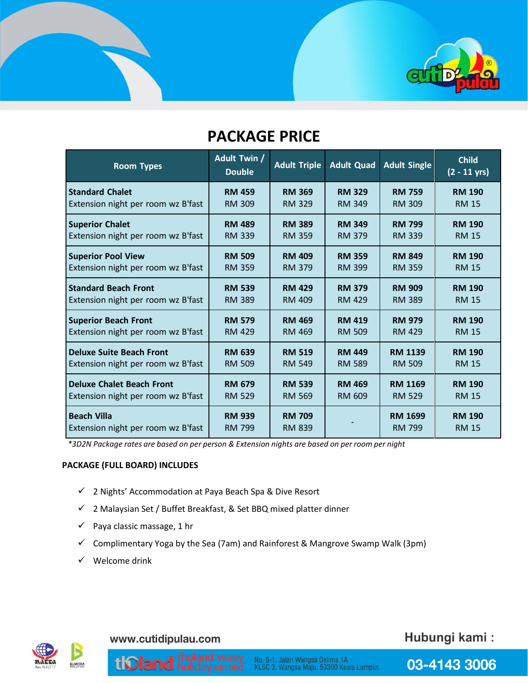

# **PACKAGE PRICE**

| <b>Room Types</b>                  | <b>Adult Twin /</b><br><b>Double</b> | <b>Adult Triple</b> | <b>Adult Quad</b> | <b>Adult Single</b> | <b>Child</b><br>$(2 - 11 \text{ yrs})$ |
|------------------------------------|--------------------------------------|---------------------|-------------------|---------------------|----------------------------------------|
| <b>Standard Chalet</b>             | <b>RM 459</b>                        | <b>RM 369</b>       | <b>RM 329</b>     | <b>RM 759</b>       | <b>RM 190</b>                          |
| Extension night per room wz B'fast | <b>RM 309</b>                        | <b>RM 329</b>       | <b>RM 349</b>     | <b>RM 309</b>       | <b>RM 15</b>                           |
| <b>Superior Chalet</b>             | <b>RM 489</b>                        | <b>RM 389</b>       | <b>RM 349</b>     | <b>RM 799</b>       | <b>RM 190</b>                          |
| Extension night per room wz B'fast | <b>RM 339</b>                        | <b>RM 359</b>       | <b>RM 379</b>     | <b>RM 339</b>       | <b>RM 15</b>                           |
| <b>Superior Pool View</b>          | <b>RM 509</b>                        | <b>RM 409</b>       | <b>RM 359</b>     | <b>RM 849</b>       | <b>RM 190</b>                          |
| Extension night per room wz B'fast | <b>RM 359</b>                        | <b>RM 379</b>       | <b>RM 399</b>     | <b>RM 359</b>       | <b>RM 15</b>                           |
| <b>Standard Beach Front</b>        | <b>RM 539</b>                        | <b>RM 429</b>       | <b>RM 379</b>     | <b>RM 909</b>       | <b>RM 190</b>                          |
| Extension night per room wz B'fast | <b>RM 389</b>                        | <b>RM 409</b>       | <b>RM 429</b>     | <b>RM 389</b>       | <b>RM 15</b>                           |
| <b>Superior Beach Front</b>        | <b>RM 579</b>                        | <b>RM 469</b>       | <b>RM 419</b>     | <b>RM 979</b>       | <b>RM 190</b>                          |
| Extension night per room wz B'fast | <b>RM 429</b>                        | RM 469              | <b>RM 509</b>     | <b>RM 429</b>       | <b>RM 15</b>                           |
| <b>Deluxe Suite Beach Front</b>    | <b>RM 639</b>                        | <b>RM 519</b>       | <b>RM 449</b>     | <b>RM 1139</b>      | <b>RM 190</b>                          |
| Extension night per room wz B'fast | <b>RM 509</b>                        | <b>RM 549</b>       | <b>RM 589</b>     | <b>RM 509</b>       | <b>RM 15</b>                           |
| <b>Deluxe Chalet Beach Front</b>   | <b>RM 679</b>                        | <b>RM 539</b>       | <b>RM 469</b>     | <b>RM 1169</b>      | <b>RM 190</b>                          |
| Extension night per room wz B'fast | <b>RM 529</b>                        | <b>RM 569</b>       | <b>RM 609</b>     | <b>RM 529</b>       | <b>RM 15</b>                           |
| <b>Beach Villa</b>                 | <b>RM 939</b>                        | <b>RM 709</b>       |                   | <b>RM 1699</b>      | <b>RM 190</b>                          |
| Extension night per room wz B'fast | <b>RM 799</b>                        | <b>RM 839</b>       |                   | <b>RM 799</b>       | <b>RM 15</b>                           |

*\*3D2N Package rates are based on per person & Extension nights are based on per room per night*

#### **PACKAGE (FULL BOARD) INCLUDES**

- ✓ 2 Nights' Accommodation at Paya Beach Spa & Dive Resort
- ✓ 2 Malaysian Set / Buffet Breakfast, & Set BBQ mixed platter dinner
- $\checkmark$  Paya classic massage, 1 hr
- ✓ Complimentary Yoga by the Sea (7am) and Rainforest & Mangrove Swamp Walk (3pm)
- ✓ Welcome drink



www.cutidipulau.com

tiOland

### Hubungi kami:

03-4143 3006

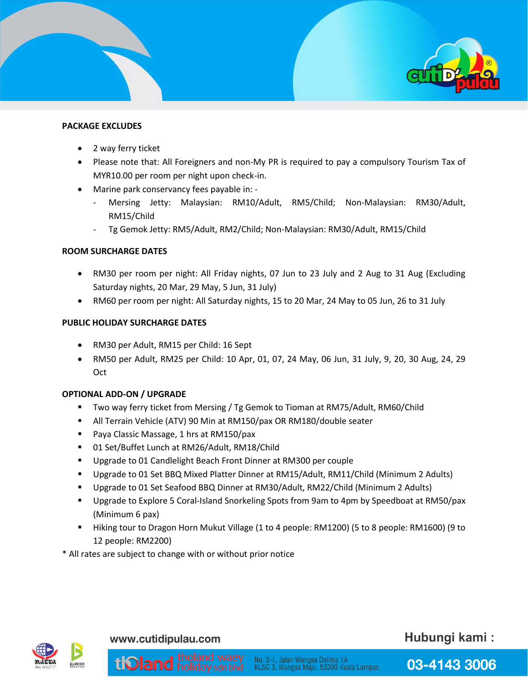

#### **PACKAGE EXCLUDES**

- 2 way ferry ticket
- Please note that: All Foreigners and non-My PR is required to pay a compulsory Tourism Tax of MYR10.00 per room per night upon check-in.
- Marine park conservancy fees payable in:
	- Mersing Jetty: Malaysian: RM10/Adult, RM5/Child; Non-Malaysian: RM30/Adult, RM15/Child
	- Tg Gemok Jetty: RM5/Adult, RM2/Child; Non-Malaysian: RM30/Adult, RM15/Child

#### **ROOM SURCHARGE DATES**

- RM30 per room per night: All Friday nights, 07 Jun to 23 July and 2 Aug to 31 Aug (Excluding Saturday nights, 20 Mar, 29 May, 5 Jun, 31 July)
- RM60 per room per night: All Saturday nights, 15 to 20 Mar, 24 May to 05 Jun, 26 to 31 July

#### **PUBLIC HOLIDAY SURCHARGE DATES**

- RM30 per Adult, RM15 per Child: 16 Sept
- RM50 per Adult, RM25 per Child: 10 Apr, 01, 07, 24 May, 06 Jun, 31 July, 9, 20, 30 Aug, 24, 29 Oct

#### **OPTIONAL ADD-ON / UPGRADE**

- Two way ferry ticket from Mersing / Tg Gemok to Tioman at RM75/Adult, RM60/Child
- All Terrain Vehicle (ATV) 90 Min at RM150/pax OR RM180/double seater
- Paya Classic Massage, 1 hrs at RM150/pax
- 01 Set/Buffet Lunch at RM26/Adult, RM18/Child
- Upgrade to 01 Candlelight Beach Front Dinner at RM300 per couple
- Upgrade to 01 Set BBQ Mixed Platter Dinner at RM15/Adult, RM11/Child (Minimum 2 Adults)
- Upgrade to 01 Set Seafood BBQ Dinner at RM30/Adult, RM22/Child (Minimum 2 Adults)
- Upgrade to Explore 5 Coral-Island Snorkeling Spots from 9am to 4pm by Speedboat at RM50/pax (Minimum 6 pax)
- Hiking tour to Dragon Horn Mukut Village (1 to 4 people: RM1200) (5 to 8 people: RM1600) (9 to 12 people: RM2200)

\* All rates are subject to change with or without prior notice



#### www.cutidipulau.com

tiOland

### Hubungi kami: